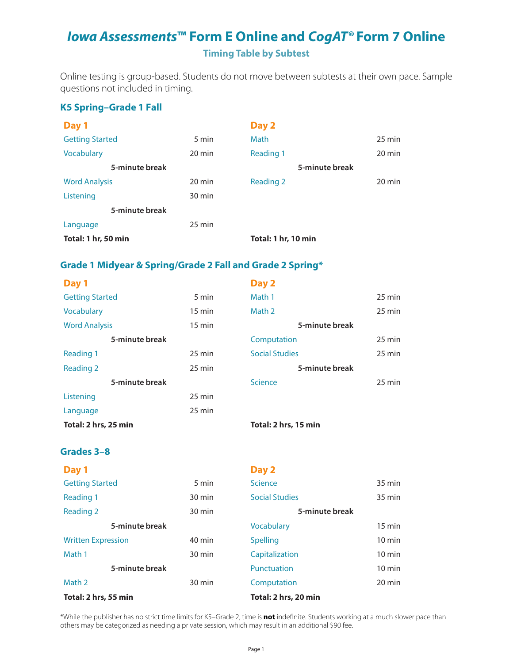## *Iowa Assessments***™ Form E Online and** *CogAT®* **Form 7 Online Timing Table by Subtest**

Online testing is group-based. Students do not move between subtests at their own pace. Sample questions not included in timing.

### **K5 Spring–Grade 1 Fall**

| Day 1                  |                  | Day 2               |                |                  |
|------------------------|------------------|---------------------|----------------|------------------|
| <b>Getting Started</b> | 5 min            | <b>Math</b>         |                | $25 \text{ min}$ |
| Vocabulary             | 20 min           | Reading 1           |                | 20 min           |
| 5-minute break         |                  |                     | 5-minute break |                  |
| <b>Word Analysis</b>   | 20 min           | <b>Reading 2</b>    |                | 20 min           |
| Listening              | 30 min           |                     |                |                  |
| 5-minute break         |                  |                     |                |                  |
| Language               | $25 \text{ min}$ |                     |                |                  |
| Total: 1 hr, 50 min    |                  | Total: 1 hr, 10 min |                |                  |

### **Grade 1 Midyear & Spring/Grade 2 Fall and Grade 2 Spring\***

| Day 1                  |                  | Day 2                 |                  |
|------------------------|------------------|-----------------------|------------------|
| <b>Getting Started</b> | 5 min            | Math 1                | $25 \text{ min}$ |
| Vocabulary             | $15 \text{ min}$ | Math 2                | $25 \text{ min}$ |
| <b>Word Analysis</b>   | $15 \text{ min}$ | 5-minute break        |                  |
| 5-minute break         |                  | Computation           | $25 \text{ min}$ |
| Reading 1              | 25 min           | <b>Social Studies</b> | $25 \text{ min}$ |
| <b>Reading 2</b>       | $25 \text{ min}$ | 5-minute break        |                  |
| 5-minute break         |                  | <b>Science</b>        | $25 \text{ min}$ |
| Listening              | $25 \text{ min}$ |                       |                  |
| Language               | $25 \text{ min}$ |                       |                  |
| Total: 2 hrs, 25 min   |                  | Total: 2 hrs, 15 min  |                  |

#### **Grades 3–8**

| Day 1                     |        | Day 2                 |                  |
|---------------------------|--------|-----------------------|------------------|
| <b>Getting Started</b>    | 5 min  | <b>Science</b>        | 35 min           |
| <b>Reading 1</b>          | 30 min | <b>Social Studies</b> | $35 \text{ min}$ |
| <b>Reading 2</b>          | 30 min | 5-minute break        |                  |
| 5-minute break            |        | <b>Vocabulary</b>     | $15 \text{ min}$ |
| <b>Written Expression</b> | 40 min | <b>Spelling</b>       | $10 \text{ min}$ |
| Math 1                    | 30 min | Capitalization        | $10 \text{ min}$ |
| 5-minute break            |        | Punctuation           | $10 \text{ min}$ |
| Math 2                    | 30 min | Computation           | 20 min           |
| Total: 2 hrs, 55 min      |        | Total: 2 hrs, 20 min  |                  |

\*While the publisher has no strict time limits for K5–Grade 2, time is **not** indefinite. Students working at a much slower pace than others may be categorized as needing a private session, which may result in an additional \$90 fee.